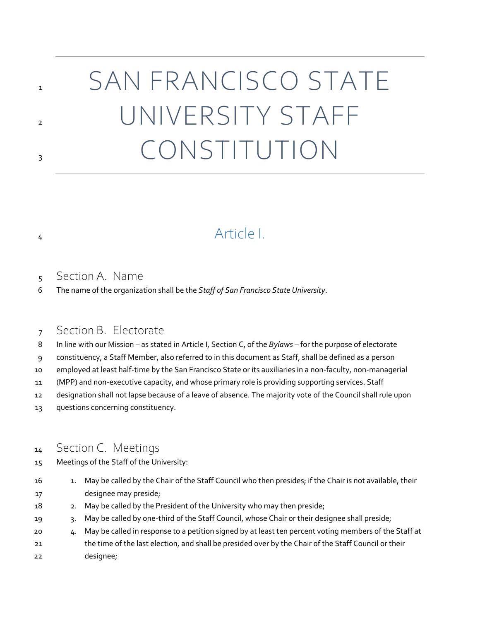# SAN FRANCISCO STATE UNIVERSITY STAFF CONSTITUTION

## Article I.

#### Section A. Name

The name of the organization shall be the *Staff of San Francisco State University*.

#### Section B. Electorate

- In line with our Mission as stated in Article I, Section C, of the *Bylaws* for the purpose of electorate
- constituency, a Staff Member, also referred to in this document as Staff, shall be defined as a person
- employed at least half-time by the San Francisco State or its auxiliaries in a non-faculty, non-managerial
- (MPP) and non-executive capacity, and whose primary role is providing supporting services. Staff
- designation shall not lapse because of a leave of absence. The majority vote of the Council shall rule upon
- questions concerning constituency.

#### Section C. Meetings

- Meetings of the Staff of the University:
- 16 16 1. May be called by the Chair of the Staff Council who then presides; if the Chair is not available, their designee may preside;
- 2. May be called by the President of the University who may then preside;
- 3. May be called by one-third of the Staff Council, whose Chair or their designee shall preside;
- 4. May be called in response to a petition signed by at least ten percent voting members of the Staff at the time of the last election, and shall be presided over by the Chair of the Staff Council or their designee;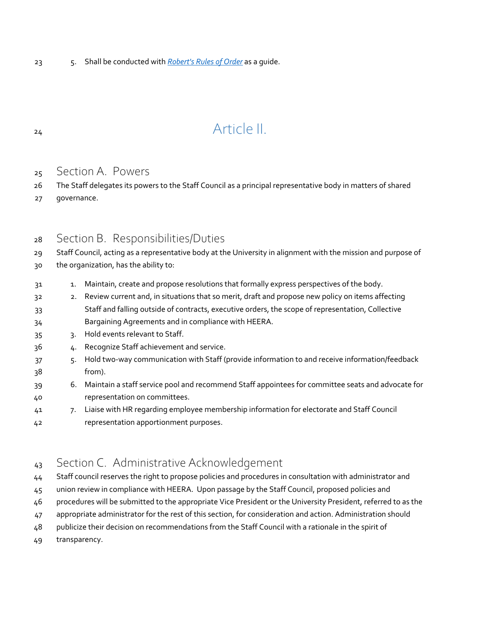5. Shall be conducted with *[Robert's Rules of Order](https://senate.sfsu.edu/about/robertsrules)* as a guide.

## 24 Article II.

#### Section A. Powers

- The Staff delegates its powers to the Staff Council as a principal representative body in matters of shared
- governance.

#### Section B. Responsibilities/Duties

Staff Council, acting as a representative body at the University in alignment with the mission and purpose of

- the organization, has the ability to:
- 1. Maintain, create and propose resolutions that formally express perspectives of the body.
- 2. Review current and, in situations that so merit, draft and propose new policy on items affecting Staff and falling outside of contracts, executive orders, the scope of representation, Collective
- Bargaining Agreements and in compliance with HEERA.
- 3. Hold events relevant to Staff.
- 4. Recognize Staff achievement and service.
- 5. Hold two-way communication with Staff (provide information to and receive information/feedback from).
- 6. Maintain a staff service pool and recommend Staff appointees for committee seats and advocate for representation on committees.
- 7. Liaise with HR regarding employee membership information for electorate and Staff Council representation apportionment purposes.

### 43 Section C. Administrative Acknowledgement

- Staff council reserves the right to propose policies and procedures in consultation with administrator and
- union review in compliance with HEERA. Upon passage by the Staff Council, proposed policies and
- procedures will be submitted to the appropriate Vice President or the University President, referred to as the
- appropriate administrator for the rest of this section, for consideration and action. Administration should
- publicize their decision on recommendations from the Staff Council with a rationale in the spirit of
- transparency.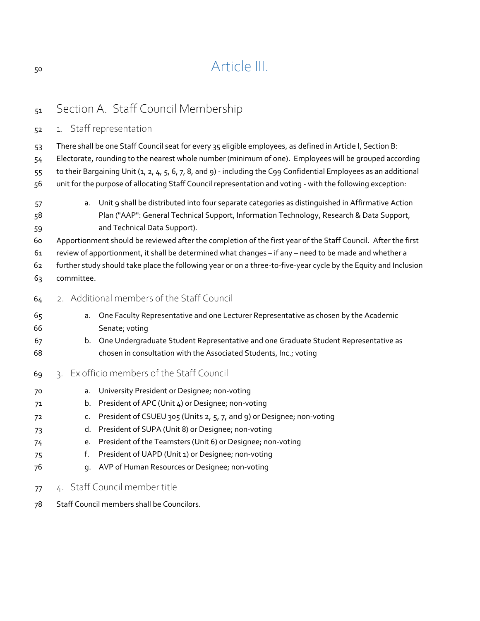# Article III.

## 51 Section A. Staff Council Membership 1. Staff representation There shall be one Staff Council seat for every 35 eligible employees, as defined in Article I, Section B: Electorate, rounding to the nearest whole number (minimum of one). Employees will be grouped according to their Bargaining Unit (1, 2, 4, 5, 6, 7, 8, and 9) - including the C99 Confidential Employees as an additional unit for the purpose of allocating Staff Council representation and voting - with the following exception: a. Unit 9 shall be distributed into four separate categories as distinguished in Affirmative Action Plan ("AAP": General Technical Support, Information Technology, Research & Data Support, and Technical Data Support). Apportionment should be reviewed after the completion of the first year of the Staff Council. After the first review of apportionment, it shall be determined what changes – if any – need to be made and whether a further study should take place the following year or on a three-to-five-year cycle by the Equity and Inclusion committee. 2. Additional members of the Staff Council a. One Faculty Representative and one Lecturer Representative as chosen by the Academic Senate; voting b. One Undergraduate Student Representative and one Graduate Student Representative as chosen in consultation with the Associated Students, Inc.; voting 3. Ex officio members of the Staff Council a. University President or Designee; non-voting b. President of APC (Unit 4) or Designee; non-voting c. President of CSUEU 305 (Units 2, 5, 7, and 9) or Designee; non-voting d. President of SUPA (Unit 8) or Designee; non-voting e. President of the Teamsters (Unit 6) or Designee; non-voting f. President of UAPD (Unit 1) or Designee; non-voting g. AVP of Human Resources or Designee; non-voting 4. Staff Council member title

Staff Council members shall be Councilors.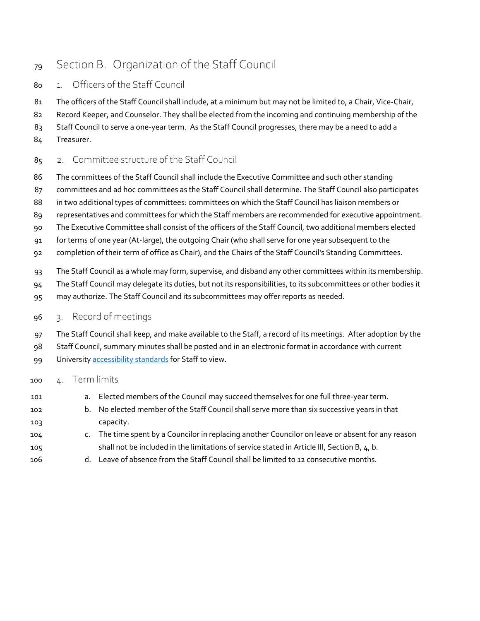## Section B. Organization of the Staff Council

- 1. Officers of the Staff Council
- 81 The officers of the Staff Council shall include, at a minimum but may not be limited to, a Chair, Vice-Chair,
- Record Keeper, and Counselor. They shall be elected from the incoming and continuing membership of the
- Staff Council to serve a one-year term. As the Staff Council progresses, there may be a need to add a
- Treasurer.
- 85 2. Committee structure of the Staff Council
- The committees of the Staff Council shall include the Executive Committee and such other standing
- committees and ad hoc committees as the Staff Council shall determine. The Staff Council also participates
- 88 in two additional types of committees: committees on which the Staff Council has liaison members or
- representatives and committees for which the Staff members are recommended for executive appointment.
- The Executive Committee shall consist of the officers of the Staff Council, two additional members elected
- for terms of one year (At-large), the outgoing Chair (who shall serve for one year subsequent to the
- completion of their term of office as Chair), and the Chairs of the Staff Council's Standing Committees.
- The Staff Council as a whole may form, supervise, and disband any other committees within its membership.
- The Staff Council may delegate its duties, but not its responsibilities, to its subcommittees or other bodies it
- may authorize. The Staff Council and its subcommittees may offer reports as needed.
- 3. Record of meetings
- The Staff Council shall keep, and make available to the Staff, a record of its meetings. After adoption by the
- Staff Council, summary minutes shall be posted and in an electronic format in accordance with current
- 99 Universit[y accessibility standards](https://access.sfsu.edu/ati/documentaccessibility) for Staff to view.

#### 4. Term limits

- a. Elected members of the Council may succeed themselves for one full three-year term.
- b. No elected member of the Staff Council shall serve more than six successive years in that capacity.
- c. The time spent by a Councilor in replacing another Councilor on leave or absent for any reason shall not be included in the limitations of service stated in Article III, Section B, 4, b.
- d. Leave of absence from the Staff Council shall be limited to 12 consecutive months.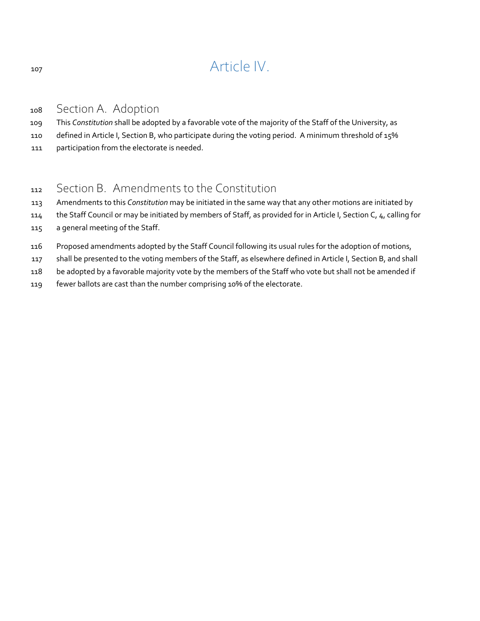## 107 Article IV.

#### <sup>108</sup> Section A. Adoption

109 This *Constitution* shall be adopted by a favorable vote of the majority of the Staff of the University, as

- 110 defined in Article I, Section B, who participate during the voting period. A minimum threshold of 15%
- 111 participation from the electorate is needed.

### <sup>112</sup> Section B. Amendments to the Constitution

- 113 Amendments to this *Constitution* may be initiated in the same way that any other motions are initiated by
- 114 the Staff Council or may be initiated by members of Staff, as provided for in Article I, Section C, 4, calling for
- 115 a general meeting of the Staff.
- 116 Proposed amendments adopted by the Staff Council following its usual rules for the adoption of motions,
- 117 shall be presented to the voting members of the Staff, as elsewhere defined in Article I, Section B, and shall
- 118 be adopted by a favorable majority vote by the members of the Staff who vote but shall not be amended if
- 119 fewer ballots are cast than the number comprising 10% of the electorate.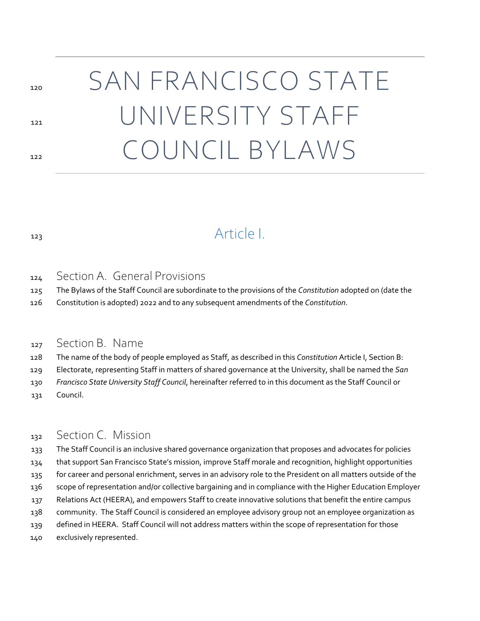# 120 SAN FRANCISCO STATE 121 UNIVERSITY STAFF 122 COUNCIL BYLAWS

## Article I.

#### Section A. General Provisions

The Bylaws of the Staff Council are subordinate to the provisions of the *Constitution* adopted on (date the

Constitution is adopted) 2022 and to any subsequent amendments of the *Constitution*.

#### 127 Section B. Name

The name of the body of people employed as Staff, as described in this *Constitution* Article I, Section B:

Electorate, representing Staff in matters of shared governance at the University, shall be named the *San* 

- *Francisco State University Staff Council*, hereinafter referred to in this document as the Staff Council or
- Council.

#### 132 Section C. Mission

 The Staff Council is an inclusive shared governance organization that proposes and advocates for policies that support San Francisco State's mission, improve Staff morale and recognition, highlight opportunities 135 for career and personal enrichment, serves in an advisory role to the President on all matters outside of the scope of representation and/or collective bargaining and in compliance with the Higher Education Employer Relations Act (HEERA), and empowers Staff to create innovative solutions that benefit the entire campus community. The Staff Council is considered an employee advisory group not an employee organization as defined in HEERA. Staff Council will not address matters within the scope of representation for those exclusively represented.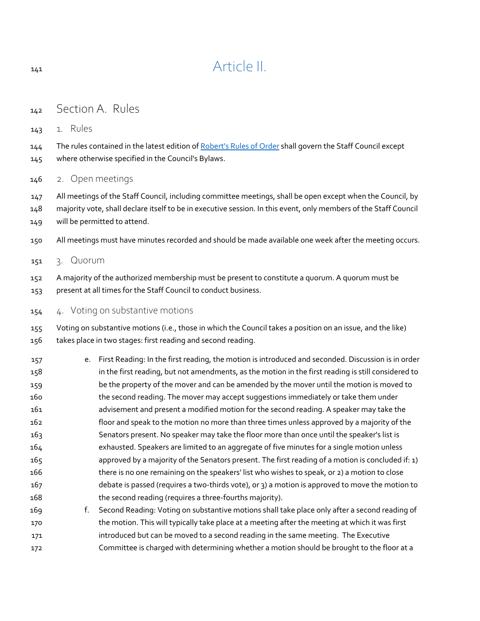## 141 Article II.

- Section A. Rules
- 1. Rules

144 The rules contained in the latest edition of [Robert's Rules of Order](https://senate.sfsu.edu/about/robertsrules) shall govern the Staff Council except where otherwise specified in the Council's Bylaws.

2. Open meetings

 All meetings of the Staff Council, including committee meetings, shall be open except when the Council, by majority vote, shall declare itself to be in executive session. In this event, only members of the Staff Council will be permitted to attend.

- All meetings must have minutes recorded and should be made available one week after the meeting occurs.
- 3. Quorum
- A majority of the authorized membership must be present to constitute a quorum. A quorum must be present at all times for the Staff Council to conduct business.
- 4. Voting on substantive motions

 Voting on substantive motions (i.e., those in which the Council takes a position on an issue, and the like) takes place in two stages: first reading and second reading.

| 157             | e. First Reading: In the first reading, the motion is introduced and seconded. Discussion is in order |
|-----------------|-------------------------------------------------------------------------------------------------------|
| 158             | in the first reading, but not amendments, as the motion in the first reading is still considered to   |
| 159             | be the property of the mover and can be amended by the mover until the motion is moved to             |
| 160             | the second reading. The mover may accept suggestions immediately or take them under                   |
| 161             | advisement and present a modified motion for the second reading. A speaker may take the               |
| 162             | floor and speak to the motion no more than three times unless approved by a majority of the           |
| 163             | Senators present. No speaker may take the floor more than once until the speaker's list is            |
| 164             | exhausted. Speakers are limited to an aggregate of five minutes for a single motion unless            |
| 165             | approved by a majority of the Senators present. The first reading of a motion is concluded if: 1)     |
| 166             | there is no one remaining on the speakers' list who wishes to speak, or 2) a motion to close          |
| 167             | debate is passed (requires a two-thirds vote), or 3) a motion is approved to move the motion to       |
| 168             | the second reading (requires a three-fourths majority).                                               |
| 16 <sub>9</sub> | Second Reading: Voting on substantive motions shall take place only after a second reading of         |

 the motion. This will typically take place at a meeting after the meeting at which it was first introduced but can be moved to a second reading in the same meeting. The Executive Committee is charged with determining whether a motion should be brought to the floor at a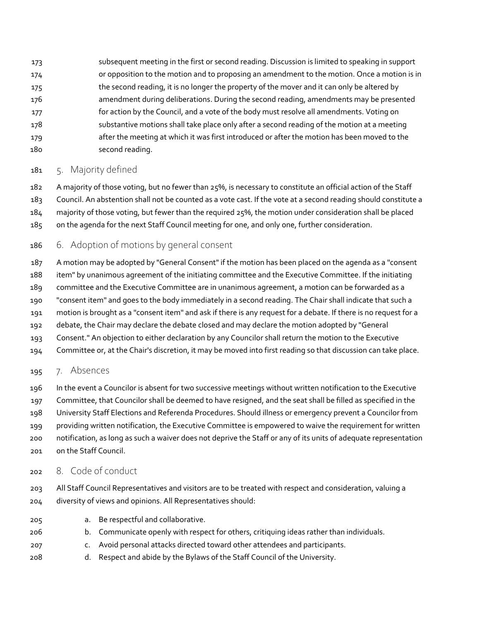subsequent meeting in the first or second reading. Discussion is limited to speaking in support or opposition to the motion and to proposing an amendment to the motion. Once a motion is in the second reading, it is no longer the property of the mover and it can only be altered by amendment during deliberations. During the second reading, amendments may be presented for action by the Council, and a vote of the body must resolve all amendments. Voting on substantive motions shall take place only after a second reading of the motion at a meeting after the meeting at which it was first introduced or after the motion has been moved to the second reading.

#### 5. Majority defined

 A majority of those voting, but no fewer than 25%, is necessary to constitute an official action of the Staff Council. An abstention shall not be counted as a vote cast. If the vote at a second reading should constitute a majority of those voting, but fewer than the required 25%, the motion under consideration shall be placed on the agenda for the next Staff Council meeting for one, and only one, further consideration.

- 6. Adoption of motions by general consent
- A motion may be adopted by "General Consent" if the motion has been placed on the agenda as a "consent item" by unanimous agreement of the initiating committee and the Executive Committee. If the initiating committee and the Executive Committee are in unanimous agreement, a motion can be forwarded as a "consent item" and goes to the body immediately in a second reading. The Chair shall indicate that such a motion is brought as a "consent item" and ask if there is any request for a debate. If there is no request for a debate, the Chair may declare the debate closed and may declare the motion adopted by "General Consent." An objection to either declaration by any Councilor shall return the motion to the Executive Committee or, at the Chair's discretion, it may be moved into first reading so that discussion can take place.

#### 195 7. Absences

- In the event a Councilor is absent for two successive meetings without written notification to the Executive
- Committee, that Councilor shall be deemed to have resigned, and the seat shall be filled as specified in the
- University Staff Elections and Referenda Procedures. Should illness or emergency prevent a Councilor from
- providing written notification, the Executive Committee is empowered to waive the requirement for written
- notification, as long as such a waiver does not deprive the Staff or any of its units of adequate representation on the Staff Council.
- 8. Code of conduct
- All Staff Council Representatives and visitors are to be treated with respect and consideration, valuing a diversity of views and opinions. All Representatives should:
- a. Be respectful and collaborative.
- b. Communicate openly with respect for others, critiquing ideas rather than individuals.
- c. Avoid personal attacks directed toward other attendees and participants.
- d. Respect and abide by the Bylaws of the Staff Council of the University.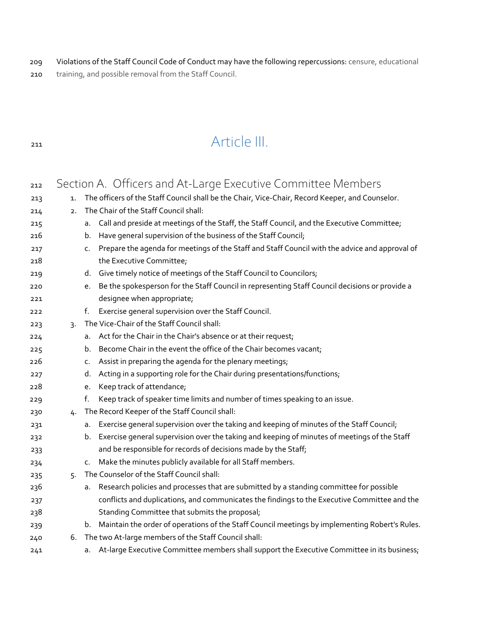- Violations of the Staff Council Code of Conduct may have the following repercussions: censure, educational
- training, and possible removal from the Staff Council.

## Article III.

| 212        |    |    | Section A. Officers and At-Large Executive Committee Members                                                                                                    |
|------------|----|----|-----------------------------------------------------------------------------------------------------------------------------------------------------------------|
| 213        | 1. |    | The officers of the Staff Council shall be the Chair, Vice-Chair, Record Keeper, and Counselor.                                                                 |
| 214        | 2. |    | The Chair of the Staff Council shall:                                                                                                                           |
| 215<br>216 |    | b. | a. Call and preside at meetings of the Staff, the Staff Council, and the Executive Committee;<br>Have general supervision of the business of the Staff Council; |
| 217        |    | c. | Prepare the agenda for meetings of the Staff and Staff Council with the advice and approval of                                                                  |
| 218        |    |    | the Executive Committee;                                                                                                                                        |
| 219        |    |    | d. Give timely notice of meetings of the Staff Council to Councilors;                                                                                           |
| 220        |    | e. | Be the spokesperson for the Staff Council in representing Staff Council decisions or provide a                                                                  |
| 221        |    |    | designee when appropriate;                                                                                                                                      |
| 222        |    | f. | Exercise general supervision over the Staff Council.                                                                                                            |
| 223        | 3. |    | The Vice-Chair of the Staff Council shall:                                                                                                                      |
| 224        |    | а. | Act for the Chair in the Chair's absence or at their request;                                                                                                   |
| 225        |    | b. | Become Chair in the event the office of the Chair becomes vacant;                                                                                               |
| 226        |    | c. | Assist in preparing the agenda for the plenary meetings;                                                                                                        |
| 227        |    | d. | Acting in a supporting role for the Chair during presentations/functions;                                                                                       |
| 228        |    | e. | Keep track of attendance;                                                                                                                                       |
| 229        |    | f. | Keep track of speaker time limits and number of times speaking to an issue.                                                                                     |
| 230        | 4. |    | The Record Keeper of the Staff Council shall:                                                                                                                   |
| 231        |    | а. | Exercise general supervision over the taking and keeping of minutes of the Staff Council;                                                                       |
| 232        |    | b. | Exercise general supervision over the taking and keeping of minutes of meetings of the Staff                                                                    |
| 233        |    |    | and be responsible for records of decisions made by the Staff;                                                                                                  |
| 234        |    | c. | Make the minutes publicly available for all Staff members.                                                                                                      |
| 235        | 5. |    | The Counselor of the Staff Council shall:                                                                                                                       |
| 236        |    | а. | Research policies and processes that are submitted by a standing committee for possible                                                                         |
| 237        |    |    | conflicts and duplications, and communicates the findings to the Executive Committee and the                                                                    |
| 238        |    |    | Standing Committee that submits the proposal;                                                                                                                   |
| 239        |    | b. | Maintain the order of operations of the Staff Council meetings by implementing Robert's Rules.                                                                  |
| 240        | 6. |    | The two At-large members of the Staff Council shall:                                                                                                            |
| 241        |    | а. | At-large Executive Committee members shall support the Executive Committee in its business;                                                                     |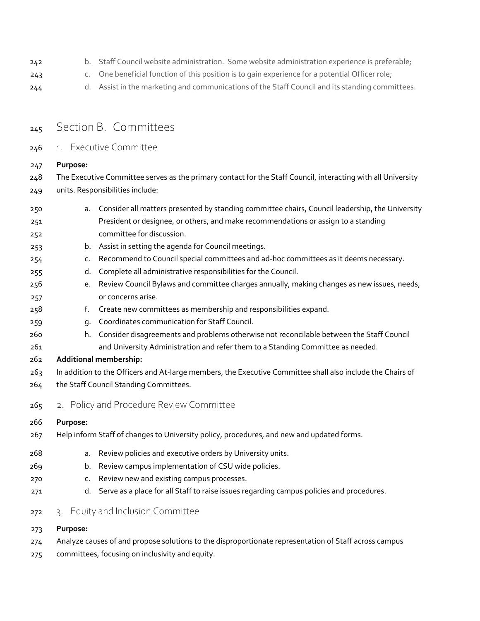- 242 b. Staff Council website administration. Some website administration experience is preferable;
- c. One beneficial function of this position is to gain experience for a potential Officer role;
- 244 d. Assist in the marketing and communications of the Staff Council and its standing committees.
- 245 Section B. Committees
- 1. Executive Committee

**Purpose:**

 The Executive Committee serves as the primary contact for the Staff Council, interacting with all University units. Responsibilities include:

- a. Consider all matters presented by standing committee chairs, Council leadership, the University President or designee, or others, and make recommendations or assign to a standing committee for discussion. b. Assist in setting the agenda for Council meetings. c. Recommend to Council special committees and ad-hoc committees as it deems necessary. d. Complete all administrative responsibilities for the Council.
- e. Review Council Bylaws and committee charges annually, making changes as new issues, needs, or concerns arise.
- f. Create new committees as membership and responsibilities expand.
- g. Coordinates communication for Staff Council.
- h. Consider disagreements and problems otherwise not reconcilable between the Staff Council and University Administration and refer them to a Standing Committee as needed.
- **Additional membership:**
- In addition to the Officers and At-large members, the Executive Committee shall also include the Chairs of the Staff Council Standing Committees.
- 265 2. Policy and Procedure Review Committee

#### **Purpose:**

- Help inform Staff of changes to University policy, procedures, and new and updated forms.
- a. Review policies and executive orders by University units.
- b. Review campus implementation of CSU wide policies.
- c. Review new and existing campus processes.
- d. Serve as a place for all Staff to raise issues regarding campus policies and procedures.
- 3. Equity and Inclusion Committee
- **Purpose:**
- Analyze causes of and propose solutions to the disproportionate representation of Staff across campus
- committees, focusing on inclusivity and equity.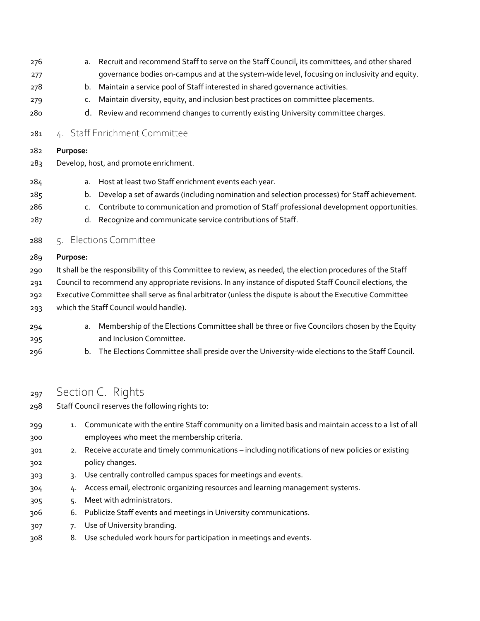- a. Recruit and recommend Staff to serve on the Staff Council, its committees, and other shared governance bodies on-campus and at the system-wide level, focusing on inclusivity and equity.
- b. Maintain a service pool of Staff interested in shared governance activities.
- 279 c. Maintain diversity, equity, and inclusion best practices on committee placements.
- d. Review and recommend changes to currently existing University committee charges.
- 4. Staff Enrichment Committee

#### **Purpose:**

- 283 Develop, host, and promote enrichment.
- a. Host at least two Staff enrichment events each year.
- b. Develop a set of awards (including nomination and selection processes) for Staff achievement.
- c. Contribute to communication and promotion of Staff professional development opportunities.
- d. Recognize and communicate service contributions of Staff.
- 5. Elections Committee

#### **Purpose:**

- It shall be the responsibility of this Committee to review, as needed, the election procedures of the Staff
- Council to recommend any appropriate revisions. In any instance of disputed Staff Council elections, the
- Executive Committee shall serve as final arbitrator (unless the dispute is about the Executive Committee
- which the Staff Council would handle).
- a. Membership of the Elections Committee shall be three or five Councilors chosen by the Equity and Inclusion Committee.
- b. The Elections Committee shall preside over the University-wide elections to the Staff Council.

#### 297 Section C. Rights

- Staff Council reserves the following rights to:
- 1. Communicate with the entire Staff community on a limited basis and maintain access to a list of all employees who meet the membership criteria.
- 2. Receive accurate and timely communications including notifications of new policies or existing policy changes.
- 3. Use centrally controlled campus spaces for meetings and events.
- 4. Access email, electronic organizing resources and learning management systems.
- 5. Meet with administrators.
- 6. Publicize Staff events and meetings in University communications.
- 7. Use of University branding.
- 8. Use scheduled work hours for participation in meetings and events.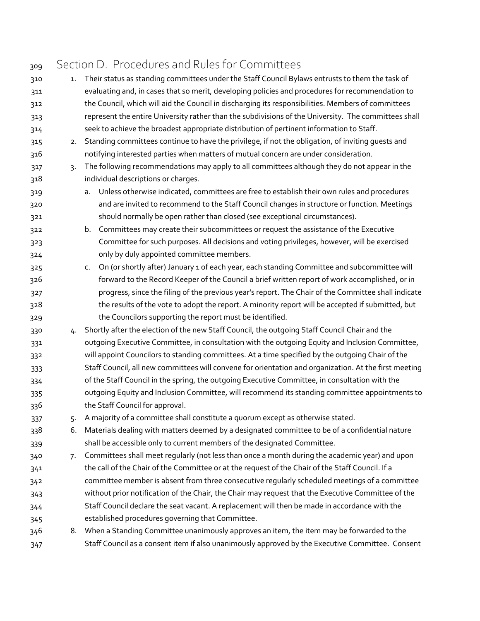| 309 |    | Section D. Procedures and Rules for Committees                                                        |
|-----|----|-------------------------------------------------------------------------------------------------------|
| 310 | 1. | Their status as standing committees under the Staff Council Bylaws entrusts to them the task of       |
| 311 |    | evaluating and, in cases that so merit, developing policies and procedures for recommendation to      |
| 312 |    | the Council, which will aid the Council in discharging its responsibilities. Members of committees    |
| 313 |    | represent the entire University rather than the subdivisions of the University. The committees shall  |
| 314 |    | seek to achieve the broadest appropriate distribution of pertinent information to Staff.              |
| 315 | 2. | Standing committees continue to have the privilege, if not the obligation, of inviting guests and     |
| 316 |    | notifying interested parties when matters of mutual concern are under consideration.                  |
| 317 | 3. | The following recommendations may apply to all committees although they do not appear in the          |
| 318 |    | individual descriptions or charges.                                                                   |
| 319 |    | Unless otherwise indicated, committees are free to establish their own rules and procedures<br>a.     |
| 320 |    | and are invited to recommend to the Staff Council changes in structure or function. Meetings          |
| 321 |    | should normally be open rather than closed (see exceptional circumstances).                           |
| 322 |    | b. Committees may create their subcommittees or request the assistance of the Executive               |
| 323 |    | Committee for such purposes. All decisions and voting privileges, however, will be exercised          |
| 324 |    | only by duly appointed committee members.                                                             |
| 325 |    | On (or shortly after) January 1 of each year, each standing Committee and subcommittee will<br>c.     |
| 326 |    | forward to the Record Keeper of the Council a brief written report of work accomplished, or in        |
| 327 |    | progress, since the filing of the previous year's report. The Chair of the Committee shall indicate   |
| 328 |    | the results of the vote to adopt the report. A minority report will be accepted if submitted, but     |
| 329 |    | the Councilors supporting the report must be identified.                                              |
| 330 | 4. | Shortly after the election of the new Staff Council, the outgoing Staff Council Chair and the         |
| 331 |    | outgoing Executive Committee, in consultation with the outgoing Equity and Inclusion Committee,       |
| 332 |    | will appoint Councilors to standing committees. At a time specified by the outgoing Chair of the      |
| 333 |    | Staff Council, all new committees will convene for orientation and organization. At the first meeting |
| 334 |    | of the Staff Council in the spring, the outgoing Executive Committee, in consultation with the        |
| 335 |    | outgoing Equity and Inclusion Committee, will recommend its standing committee appointments to        |
| 336 |    | the Staff Council for approval.                                                                       |
| 337 | 5. | A majority of a committee shall constitute a quorum except as otherwise stated.                       |
| 338 | 6. | Materials dealing with matters deemed by a designated committee to be of a confidential nature        |
| 339 |    | shall be accessible only to current members of the designated Committee.                              |
| 340 | 7. | Committees shall meet regularly (not less than once a month during the academic year) and upon        |
| 341 |    | the call of the Chair of the Committee or at the request of the Chair of the Staff Council. If a      |
| 342 |    | committee member is absent from three consecutive regularly scheduled meetings of a committee         |
| 343 |    | without prior notification of the Chair, the Chair may request that the Executive Committee of the    |
| 344 |    | Staff Council declare the seat vacant. A replacement will then be made in accordance with the         |
| 345 |    | established procedures governing that Committee.                                                      |
| 346 |    | 8. When a Standing Committee unanimously approves an item, the item may be forwarded to the           |
| 347 |    | Staff Council as a consent item if also unanimously approved by the Executive Committee. Consent      |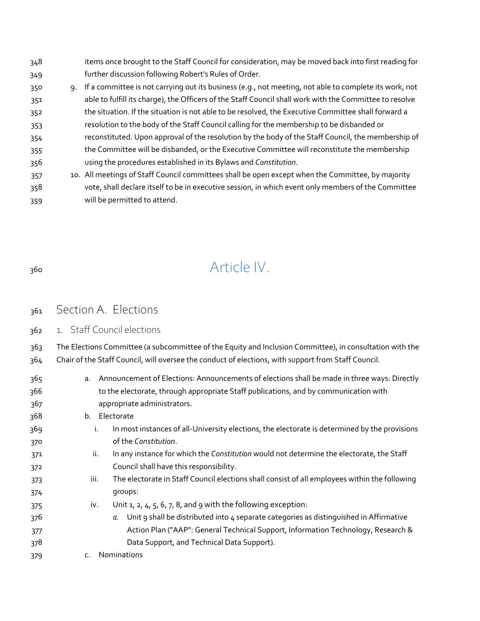- items once brought to the Staff Council for consideration, may be moved back into first reading for further discussion following Robert's Rules of Order.
- 9. If a committee is not carrying out its business (e.g., not meeting, not able to complete its work, not able to fulfill its charge), the Officers of the Staff Council shall work with the Committee to resolve the situation. If the situation is not able to be resolved, the Executive Committee shall forward a resolution to the body of the Staff Council calling for the membership to be disbanded or
- reconstituted. Upon approval of the resolution by the body of the Staff Council, the membership of the Committee will be disbanded, or the Executive Committee will reconstitute the membership using the procedures established in its Bylaws and *Constitution*.
- 10. All meetings of Staff Council committees shall be open except when the Committee, by majority vote, shall declare itself to be in executive session, in which event only members of the Committee will be permitted to attend.
- 

# Article IV.

- 361 Section A. Elections
- 1. Staff Council elections

 The Elections Committee (a subcommittee of the Equity and Inclusion Committee), in consultation with the Chair of the Staff Council, will oversee the conduct of elections, with support from Staff Council.

 a. Announcement of Elections: Announcements of elections shall be made in three ways: Directly to the electorate, through appropriate Staff publications, and by communication with appropriate administrators. b. Electorate i. In most instances of all-University elections, the electorate is determined by the provisions of the *Constitution*. ii. In any instance for which the *Constitution* would not determine the electorate, the Staff Council shall have this responsibility. iii. The electorate in Staff Council elections shall consist of all employees within the following groups: iv. Unit  $1, 2, 4, 5, 6, 7, 8$ , and 9 with the following exception: *a.* Unit 9 shall be distributed into 4 separate categories as distinguished in Affirmative Action Plan ("AAP": General Technical Support, Information Technology, Research & Data Support, and Technical Data Support). c. Nominations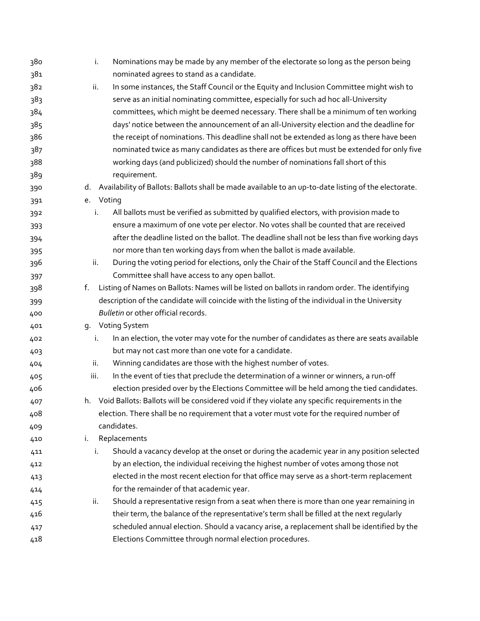| 380 | i.   | Nominations may be made by any member of the electorate so long as the person being                  |
|-----|------|------------------------------------------------------------------------------------------------------|
| 381 |      | nominated agrees to stand as a candidate.                                                            |
| 382 | ii.  | In some instances, the Staff Council or the Equity and Inclusion Committee might wish to             |
| 383 |      | serve as an initial nominating committee, especially for such ad hoc all-University                  |
| 384 |      | committees, which might be deemed necessary. There shall be a minimum of ten working                 |
| 385 |      | days' notice between the announcement of an all-University election and the deadline for             |
| 386 |      | the receipt of nominations. This deadline shall not be extended as long as there have been           |
| 387 |      | nominated twice as many candidates as there are offices but must be extended for only five           |
| 388 |      | working days (and publicized) should the number of nominations fall short of this                    |
| 389 |      | requirement.                                                                                         |
| 390 | d.   | Availability of Ballots: Ballots shall be made available to an up-to-date listing of the electorate. |
| 391 | e.   | Voting                                                                                               |
| 392 | i.   | All ballots must be verified as submitted by qualified electors, with provision made to              |
| 393 |      | ensure a maximum of one vote per elector. No votes shall be counted that are received                |
| 394 |      | after the deadline listed on the ballot. The deadline shall not be less than five working days       |
| 395 |      | nor more than ten working days from when the ballot is made available.                               |
| 396 | ii.  | During the voting period for elections, only the Chair of the Staff Council and the Elections        |
| 397 |      | Committee shall have access to any open ballot.                                                      |
| 398 | f.   | Listing of Names on Ballots: Names will be listed on ballots in random order. The identifying        |
| 399 |      | description of the candidate will coincide with the listing of the individual in the University      |
| 400 |      | Bulletin or other official records.                                                                  |
| 401 |      | g. Voting System                                                                                     |
| 402 | i.   | In an election, the voter may vote for the number of candidates as there are seats available         |
| 403 |      | but may not cast more than one vote for a candidate.                                                 |
| 404 | ii.  | Winning candidates are those with the highest number of votes.                                       |
| 405 | iii. | In the event of ties that preclude the determination of a winner or winners, a run-off               |
| 406 |      | election presided over by the Elections Committee will be held among the tied candidates.            |
| 407 |      | h. Void Ballots: Ballots will be considered void if they violate any specific requirements in the    |
| 408 |      | election. There shall be no requirement that a voter must vote for the required number of            |
| 409 |      | candidates.                                                                                          |
| 410 | i.   | Replacements                                                                                         |
| 411 | i.   | Should a vacancy develop at the onset or during the academic year in any position selected           |
| 412 |      | by an election, the individual receiving the highest number of votes among those not                 |
| 413 |      | elected in the most recent election for that office may serve as a short-term replacement            |
| 414 |      | for the remainder of that academic year.                                                             |
| 415 | ii.  | Should a representative resign from a seat when there is more than one year remaining in             |
| 416 |      | their term, the balance of the representative's term shall be filled at the next regularly           |
| 417 |      | scheduled annual election. Should a vacancy arise, a replacement shall be identified by the          |
| 418 |      | Elections Committee through normal election procedures.                                              |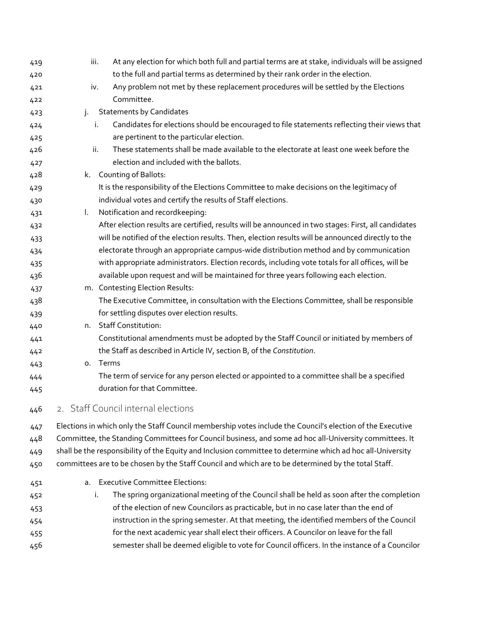| 419 | iii.     | At any election for which both full and partial terms are at stake, individuals will be assigned           |
|-----|----------|------------------------------------------------------------------------------------------------------------|
| 420 |          | to the full and partial terms as determined by their rank order in the election.                           |
| 421 | iv.      | Any problem not met by these replacement procedures will be settled by the Elections                       |
| 422 |          | Committee.                                                                                                 |
| 423 | j.       | <b>Statements by Candidates</b>                                                                            |
| 424 | i.       | Candidates for elections should be encouraged to file statements reflecting their views that               |
| 425 |          | are pertinent to the particular election.                                                                  |
| 426 | ii.      | These statements shall be made available to the electorate at least one week before the                    |
| 427 |          | election and included with the ballots.                                                                    |
| 428 | k.       | Counting of Ballots:                                                                                       |
| 429 |          | It is the responsibility of the Elections Committee to make decisions on the legitimacy of                 |
| 430 |          | individual votes and certify the results of Staff elections.                                               |
| 431 | L.       | Notification and recordkeeping:                                                                            |
| 432 |          | After election results are certified, results will be announced in two stages: First, all candidates       |
| 433 |          | will be notified of the election results. Then, election results will be announced directly to the         |
| 434 |          | electorate through an appropriate campus-wide distribution method and by communication                     |
| 435 |          | with appropriate administrators. Election records, including vote totals for all offices, will be          |
| 436 |          | available upon request and will be maintained for three years following each election.                     |
| 437 |          | m. Contesting Election Results:                                                                            |
| 438 |          | The Executive Committee, in consultation with the Elections Committee, shall be responsible                |
| 439 |          | for settling disputes over election results.                                                               |
| 440 |          | n. Staff Constitution:                                                                                     |
| 441 |          | Constitutional amendments must be adopted by the Staff Council or initiated by members of                  |
| 442 |          | the Staff as described in Article IV, section B, of the Constitution.                                      |
| 443 | o. Terms |                                                                                                            |
| 444 |          | The term of service for any person elected or appointed to a committee shall be a specified                |
| 445 |          | duration for that Committee.                                                                               |
| 446 |          | 2. Staff Council internal elections                                                                        |
| 447 |          | Elections in which only the Staff Council membership votes include the Council's election of the Executive |
| 448 |          | Committee, the Standing Committees for Council business, and some ad hoc all-University committees. It     |
| 449 |          | shall be the responsibility of the Equity and Inclusion committee to determine which ad hoc all-University |
| 450 |          | committees are to be chosen by the Staff Council and which are to be determined by the total Staff.        |
| 451 |          | a. Executive Committee Elections:                                                                          |
| 452 | i.       | The spring organizational meeting of the Council shall be held as soon after the completion                |
| 453 |          | of the election of new Councilors as practicable, but in no case later than the end of                     |
| 454 |          | instruction in the spring semester. At that meeting, the identified members of the Council                 |
| 455 |          | for the next academic year shall elect their officers. A Councilor on leave for the fall                   |
| 456 |          | semester shall be deemed eligible to vote for Council officers. In the instance of a Councilor             |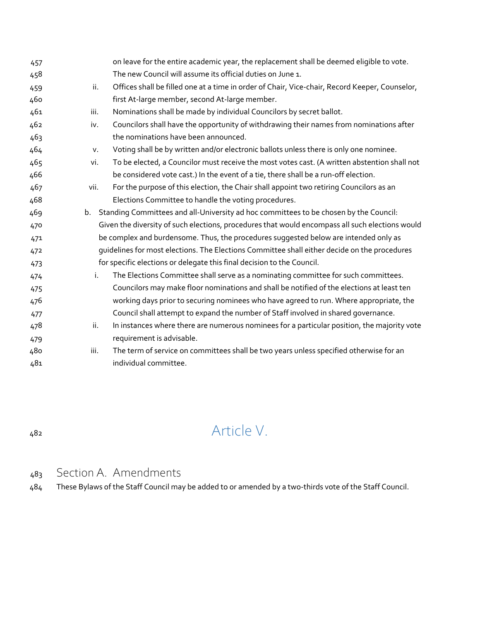|      | on leave for the entire academic year, the replacement shall be deemed eligible to vote.        |
|------|-------------------------------------------------------------------------------------------------|
|      | The new Council will assume its official duties on June 1.                                      |
| ii.  | Offices shall be filled one at a time in order of Chair, Vice-chair, Record Keeper, Counselor,  |
|      | first At-large member, second At-large member.                                                  |
| iii. | Nominations shall be made by individual Councilors by secret ballot.                            |
| iv.  | Councilors shall have the opportunity of withdrawing their names from nominations after         |
|      | the nominations have been announced.                                                            |
| v.   | Voting shall be by written and/or electronic ballots unless there is only one nominee.          |
| vi.  | To be elected, a Councilor must receive the most votes cast. (A written abstention shall not    |
|      | be considered vote cast.) In the event of a tie, there shall be a run-off election.             |
| vii. | For the purpose of this election, the Chair shall appoint two retiring Councilors as an         |
|      | Elections Committee to handle the voting procedures.                                            |
|      | b. Standing Committees and all-University ad hoc committees to be chosen by the Council:        |
|      | Given the diversity of such elections, procedures that would encompass all such elections would |
|      | be complex and burdensome. Thus, the procedures suggested below are intended only as            |
|      | guidelines for most elections. The Elections Committee shall either decide on the procedures    |
|      | for specific elections or delegate this final decision to the Council.                          |
| i.   | The Elections Committee shall serve as a nominating committee for such committees.              |
|      | Councilors may make floor nominations and shall be notified of the elections at least ten       |
|      | working days prior to securing nominees who have agreed to run. Where appropriate, the          |
|      | Council shall attempt to expand the number of Staff involved in shared governance.              |
| ii.  | In instances where there are numerous nominees for a particular position, the majority vote     |
|      | requirement is advisable.                                                                       |
| iii. | The term of service on committees shall be two years unless specified otherwise for an          |
|      | individual committee.                                                                           |
|      |                                                                                                 |

# Article V.

## Section A. Amendments

These Bylaws of the Staff Council may be added to or amended by a two-thirds vote of the Staff Council.